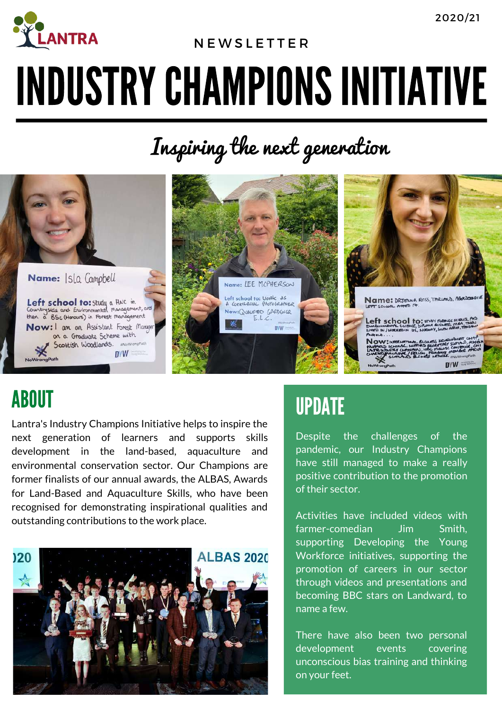

### N E W S L E T T E R

# INDUSTRY CHAMPIONS INITIATIVE

Inspiring the next generation



## ABOUT

Lantra's Industry Champions Initiative helps to inspire the next generation of learners and supports skills development in the land-based, aquaculture and environmental conservation sector. Our Champions are former finalists of our annual awards, the ALBAS, Awards for Land-Based and Aquaculture Skills, who have been recognised for demonstrating inspirational qualities and outstanding contributions to the work place.



## UPDATE

Despite the challenges of the pandemic, our Industry Champions have still managed to make a really positive contribution to the promotion of their sector.

Activities have included videos with farmer-comedian Jim Smith, supporting Developing the Young Workforce initiatives, supporting the promotion of careers in our sector through videos and presentations and becoming BBC stars on Landward, to name a few.

There have also been two personal development events covering unconscious bias training and thinking on your feet.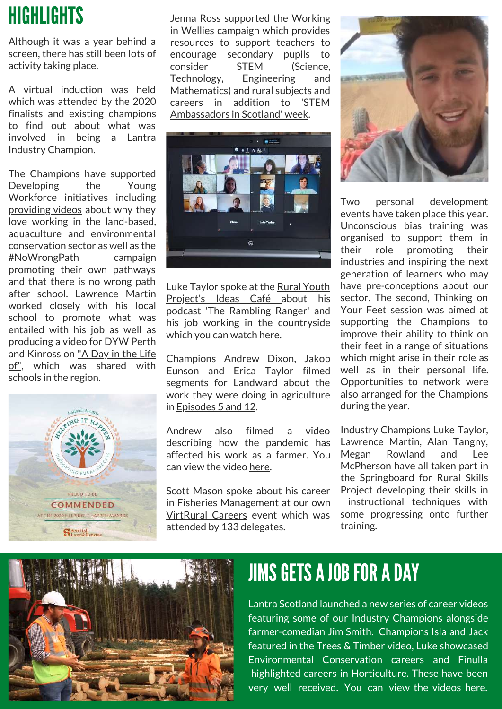# **HIGHLIGHTS**

Although it was a year behind a screen, there has still been lots of activity taking place.

A virtual induction was held which was attended by the 2020 finalists and existing champions to find out about what was involved in being a Lantra Industry Champion.

The Champions have supported Developing the Young Workforce initiatives including [providing](https://www.youtube.com/watch?v=njwNjXDqmEQ&t=22s) videos about why they love working in the land-based, aquaculture and environmental conservation sector as well as the #NoWrongPath campaign promoting their own pathways and that there is no wrong path after school. Lawrence Martin worked closely with his local school to promote what was entailed with his job as well as producing a video for DYW Perth and [Kinross](https://www.youtube.com/watch?v=7jbDx4E6f-U) on "A Day in the Life of", which was shared with schools in the region.



Jenna Ross [supported](https://www.youtube.com/watch?v=8estAVQwCyI) the Working in Wellies campaign which provides resources to support teachers to encourage secondary pupils to consider STEM (Science, Technology, Engineering and Mathematics) and rural subjects and careers in addition to 'STEM [Ambassadors](https://fb.watch/420YoZUGc2/) in Scotland' week.



Luke Taylor spoke at the Rural Youth [Project's](https://www.youtube.com/watch?v=0bgJQjFHdEY&t=170s) Ideas Café about his podcast 'The Rambling Ranger' and his job working in the countryside which you can [watch](https://www.youtube.com/watch?v=0bgJQjFHdEY) here.

Champions Andrew Dixon, Jakob Eunson and Erica Taylor filmed segments for Landward about the work they were doing in agriculture in [Episodes](https://www.bbc.co.uk/iplayer/episodes/b006m994/landward) 5 and 12.

Andrew also filmed a video describing how the pandemic has affected his work as a farmer. You can view the video [here](https://www.facebook.com/lantrascotland/videos/heres-andrew-dixon-borders-farmer-and-one-of-our-industry-champions-giving-us-an/2907566382622941/).

Scott Mason spoke about his career in Fisheries Management at our own [VirtRural](https://www.youtube.com/watch?v=cQZKPEab6M4&t=231s) Careers event which was attended by 133 delegates.



Two personal development events have taken place this year. Unconscious bias training was organised to support them in their role promoting their industries and inspiring the next generation of learners who may have pre-conceptions about our sector. The second, Thinking on Your Feet session was aimed at supporting the Champions to improve their ability to think on their feet in a range of situations which might arise in their role as well as in their personal life. Opportunities to network were also arranged for the Champions during the year.

Industry Champions Luke Taylor, Lawrence Martin, Alan Tangny, Megan Rowland and Lee McPherson have all taken part in the Springboard for Rural Skills Project developing their skills in instructional techniques with some progressing onto further training.



## JIMS GETS A JOB FOR A DAY

Lantra Scotland launched a new series of career videos featuring some of our Industry Champions alongside farmer-comedian Jim Smith. Champions Isla and Jack featured in the Trees & Timber video, Luke showcased Environmental Conservation careers and Finulla highlighted careers in Horticulture. These have been very well received. [You](https://www.youtube.com/watch?v=cukjOzYIBZw&list=PLtnIp4QBTXPW4ajeo5Hjc1rg9wiWB1SUH) [can](https://www.youtube.com/watch?v=cukjOzYIBZw&list=PLtnIp4QBTXPW4ajeo5Hjc1rg9wiWB1SUH) [view](https://www.youtube.com/watch?v=cukjOzYIBZw&list=PLtnIp4QBTXPW4ajeo5Hjc1rg9wiWB1SUH) [the](https://www.youtube.com/watch?v=cukjOzYIBZw&list=PLtnIp4QBTXPW4ajeo5Hjc1rg9wiWB1SUH) [videos](https://www.youtube.com/watch?v=cukjOzYIBZw&list=PLtnIp4QBTXPW4ajeo5Hjc1rg9wiWB1SUH) [here.](https://www.youtube.com/watch?v=cukjOzYIBZw&list=PLtnIp4QBTXPW4ajeo5Hjc1rg9wiWB1SUH)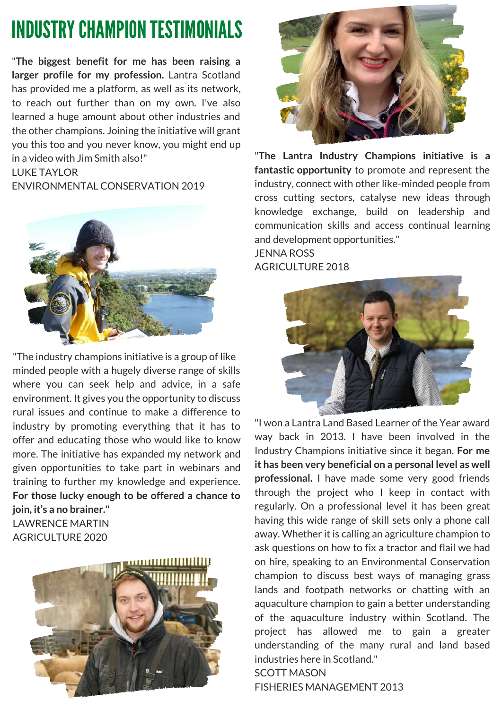# **INDUSTRY CHAMPION TESTIMONIALS**

"**The biggest benefit for me has been raising a larger profile for my profession.** Lantra Scotland has provided me a platform, as well as its network, to reach out further than on my own. I've also learned a huge amount about other industries and the other champions. Joining the initiative will grant you this too and you never know, you might end up in a video with Jim Smith also!"

#### LUKE TAYLOR

ENVIRONMENTAL CONSERVATION 2019



"The industry champions initiative is a group of like minded people with a hugely diverse range of skills where you can seek help and advice, in a safe environment. It gives you the opportunity to discuss rural issues and continue to make a difference to industry by promoting everything that it has to offer and educating those who would like to know more. The initiative has expanded my network and given opportunities to take part in webinars and training to further my knowledge and experience. **For those lucky enough to be offered a chance to join, it's a no brainer."**

LAWRENCE MARTIN AGRICULTURE 2020





"**The Lantra Industry Champions initiative is a fantastic opportunity** to promote and represent the industry, connect with other like-minded people from cross cutting sectors, catalyse new ideas through knowledge exchange, build on leadership and communication skills and access continual learning and development opportunities." JENNA ROSS **AGRICULTURE 2018** 



"I won a Lantra Land Based Learner of the Year award way back in 2013. I have been involved in the Industry Champions initiative since it began. **For me it has been very beneficial on a personal level as well professional.** I have made some very good friends through the project who I keep in contact with regularly. On a professional level it has been great having this wide range of skill sets only a phone call away. Whether it is calling an agriculture champion to ask questions on how to fix a tractor and flail we had on hire, speaking to an Environmental Conservation champion to discuss best ways of managing grass lands and footpath networks or chatting with an aquaculture champion to gain a better understanding of the aquaculture industry within Scotland. The project has allowed me to gain a greater understanding of the many rural and land based industries here in Scotland." SCOTT MASON

FISHERIES MANAGEMENT 2013